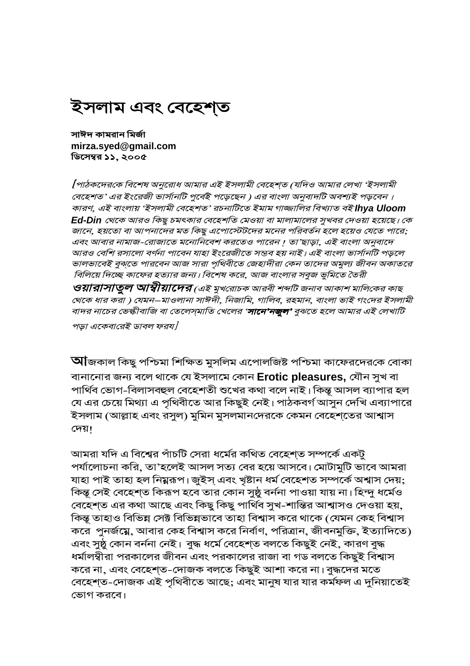# ইসলাম এবং বেহেশ্ত

সাঈদ কামরান মির্জা mirza.syed@gmail.com ডিসেম্বর ১১, ২০০৫

[পাঠকদেরকে বিশেষ অনুরোধ আমার এই ইসলামী বেহেশ্ত (যদিও আমার লেখা 'ইসলামী বেহেশত' এর ইংরেজী ভার্সানটি পুর্বেই পড়েছেন ) এর বাংলা অনুবাদটি অবশ্যই পড়বেন । কারণ, এই বাংলায় 'ইসলামী বেহেশত' রচনাটিতে ইমাম গাজ্জালির বিখ্যাত বই **lhya Uloom** Ed-Din থেকে আরও কিছু চমৎকার বেহেশতি মেওয়া বা মালামালের সুখবর দেওয়া হয়েছে। কে জানে, হয়তো বা আপনাদের মত কিছু এপোস্টেটদের মনের পরিবর্তন হলে হয়েও যেতে পারে; এবং আবার নামাজ-রোজাতে মনোনিবেশ করতেও পারেন। তা'ছাড়া, এই বাংলা অনুবাদে আরও বেশি রসালো বর্ণনা পাবেন যাহা ইংরেজীতে সম্ভব হয় নাই। এই বাংলা ভার্সানটি পড়লে ভালভাবেই বুঝতে পারবেন আজ সারা পৃথিবীতে জেহাদীরা কেন তাদের অমুল্য জীবন অকাতরে বিলিয়ে দিচ্ছে কাফের হত্যার জন্য। বিশেষ করে, আজ বাংলার সবুজ ভুমিতে তৈরী **ওয়ারাসাতুল আস্বীয়াদের** (এই মুখরোচক আরবী শব্দটি জনাব আকাশ মালিকের কাছ থেকে ধার করা ) যেমন–মাওলানা সাঈদী, নিজামি, গালিব, রহমান, বাংলা ভাই গংদের ইসলামী বাদর নাচের ভেল্কীবাজি বা তেলেস্মাতি খেলের '**সানে'নজুল'** বুঝতে হলে আমার এই লেখাটি পড়া একেবারেই ডাবল ফরয/

**আ**জকাল কিছু পশ্চিমা শিক্ষিত মুসলিম এপোলজিষ্ট পশ্চিমা কাফেরদেরকে বোকা বানানোর জন্য বলে থাকে যে ইসলামে কোন Erotic pleasures, যৌন সুখ বা পার্থিব ভোগ-বিলাসবহুল বেহেশতী শুখের কথা বলে নাই। কিন্তু আসল ব্যাপার হল যে এর চেয়ে মিথ্যা এ পৃথিবীতে আর কিছুই নেই। পাঠকবর্গ আসুন দেখি এব্যাপারে ইসলাম (আল্লাহ এবং রসুল) মুমিন মুসলমানদেরকে কেমন বেহেশ্তের আশ্বাস দেয়।

আমরা যদি এ বিশ্বের পাঁচটি সেরা ধর্মের কথিত বেহেশত সম্পর্কে একটু পর্যালোচনা করি, তা'হলেই আসল সত্য বের হয়ে আসবে। মোটামুটি ভাবে আমরা যাহা পাই তাহা হল নিমুরূপ। জুইস এবং খৃষ্টান ধর্ম বেহেশত সম্পর্কে অশ্বাস দেয়; কিন্তু সেই বেহেশত কিরূপ হবে তার কোন সুষ্ঠু বর্ননা পাওয়া যায় না। হিন্দু ধর্মেও বেহেশত এর কথা আছে এবং কিছু কিছু পার্থিব সুখ-শান্তির আশ্বাসও দেওয়া হয়, কিন্তু তাহাও বিভিন্ন সেক্ট বিভিন্নভাবে তাহা বিশ্বাস করে থাকে (যেমন কেহ বিশ্বাস করে পুনর্জম্নে, আবার কেহ বিশ্বাস করে নির্বাণ, পরিত্রান, জীবনমুক্তি, ইত্যাদিতে) এবং সুষ্ঠু কোন বৰ্ননা নেই। বুদ্ধ ধৰ্মে বেহেশ্ত বলতে কিছুই নেই, কারণ বুদ্ধ ধর্মালম্বীরা পরকালের জীবন এবং পরকালের রাজা বা গড বলতে কিছুই বিশ্বাস করে না, এবং বেহেশ্ত-দোজক বলতে কিছুই আশা করে না। বুদ্ধদের মতে বেহেশ্ত-দোজক এই পৃথিবীতে আছে; এবং মানুষ যার যার কর্মফল এ দুনিয়াতেই ভোগ করবে।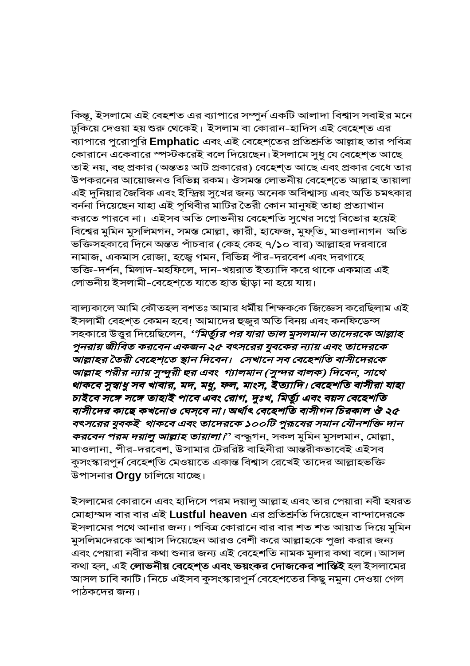কিন্তু, ইসলামে এই বেহশত এর ব্যাপারে সম্পুর্ন একটি আলাদা বিশ্বাস সবাইর মনে ঢুকিয়ে দেওয়া হয় শুরু থেকেই। ইসলাম বা কোরান-হাদিস এই বেহেশ্ত এর ব্যাপারে পুরোপুরি Emphatic এবং এই বেহেশ্তের প্রতিশ্রুতি আল্লাহ তার পবিত্র কোরানে একেবারে স্পস্টকরেই বলে দিয়েছেন। ইসলামে সুধু যে বেহেশ্ত আছে তাই নয়, বহু প্রকার (অন্ততঃ আট প্রকারের) বেহেশ্ত আছে এবং প্রকার বেধে তার উপকরনের আয়োজনও বিভিন্ন রকম। ঔসমস্ত লোভনীয় বেহেশতে আল্লাহ তায়ালা এই দুনিয়ার জৈবিক এবং ইন্দ্রিয় সুখের জন্য অনেক অবিশ্বাস্য এবং অতি চমৎকার বৰ্ননা দিয়েছেন যাহা এই পৃথিবীর মাটির তৈরী কোন মানুষই তাহা প্রত্যাখান করতে পারবে না। এইসব অতি লোভনীয় বেহেশতি সুখের সপ্নে বিভোর হয়েই বিশ্বের মুমিন মুসলিমগন, সমস্ত মোল্লা, ক্কারী, হাফেজ, মুফ্তি, মাওলানাগন অতি ভক্তিসহকারে দিনে অন্তত পাঁচবার (কেহ কেহ ৭/১০ বার) আল্লাহর দরবারে নামাজ, একমাস রোজা, হজ্বে গমন, বিভিন্ন পীর-দরবেশ এবং দরগাহে ভক্তি-দর্শন, মিলাদ-মহফিলে, দান-খয়রাত ইত্যাদি করে থাকে একমাত্র এই লোভনীয় ইসলামী-বেহেশতে যাতে হাত ছাঁড়া না হয়ে যায়।

বাল্যকালে আমি কৌতহল বশতঃ আমার ধর্মীয় শিক্ষককে জিজ্ঞেস করেছিলাম এই ইসলামী বেহশ্ত কেমন হবে! আমাদের হুজুর অতি বিনয় এবং কনফিডেন্স সহকারে উত্তুর দিয়েছিলেন, *''মির্ত্যুর পর যারা ভাল মুসলমান তাদেরকে আল্লাহ* পুনরায় জীবিত করবেন একজন ২৫ বৎসরের যুবকের ন্যায় এবং তাদেরকে আল্লাহর তৈরী বেহেশ্তে স্থান দিবেন। সেখানে সব বেহেশতি বাসীদেরকে আল্লাহ পরীর ন্যায় সুন্দুরী হুর এবং গ্যালমান (সুন্দর বালক) দিবেন, সাথে থাকবে সুস্বাধু সব খাবার, মদ, মধু, ফল, মাংস, ইত্যাদি। বেহেশতি বাসীরা যাহা চাইবে সঙ্গে সঙ্গে তাহাই পাবে এবং রোগ, দুঃখ, মির্ত্যু এবং বয়স বেহেশতি বাসীদের কাছে কখনোও ঘেস্বে না। অর্থাৎ বেহেশতি বাসীগন চিরকাল ঔ ২৫ বৎসরের যুবকই থাকবে এবং তাদেরকে ১০০টি পুরূষের সমান যৌনশক্তি দান *করবেন পরম দয়ালু আল্লাহ তায়ালা।' ব*ন্দ্ধুগন, সকল মুমিন মুসলমান, মোল্লা, মাওলানা, পীর-দরবেশ, উসামার টেররিষ্ট বাহিনীরা আন্তরীকভাবেই এইসব কুসংস্কারপুর্ন বেহেশ্তি মেওয়াতে একান্ত বিশ্বাস রেখেই তাদের আল্লাহভক্তি উপাসনার **Orgy** চালিয়ে যাচ্ছে।

ইসলামের কোরানে এবং হাদিসে পরম দয়ালু আল্লাহ এবং তার পেয়ারা নবী হযরত মোহাম্মদ বার বার এই Lustful heaven এর প্রতিশ্রুতি দিয়েছেন বান্দাদেরকে ইসলামের পথে আনার জন্য। পবিত্র কোরানে বার বার শত শত আয়াত দিয়ে মুমিন মুসলিমদেরকে আশ্বাস দিয়েছেন আরও বেশী করে আল্লাহকে পুজা করার জন্য এবং পেয়ারা নবীর কথা শুনার জন্য এই বেহেশতি নামক মুলার কথা বলে। আসল কথা হল, এই **লোভনীয় বেহেশ্ত এবং ভয়ংকর দোজকের শান্তিই** হল ইসলামের আসল চাবি কাটি। নিচে এইসব কুসংস্কারপুর্ন বেহেশতের কিছু নমুনা দেওয়া গেল পাঠকদের জন্য।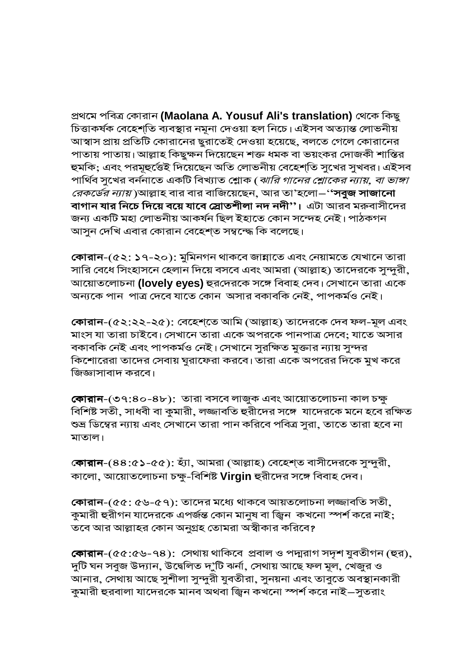প্রথমে পবিত্র কোরান (Maolana A. Yousuf Ali's translation) থেকে কিছু চিত্তাকর্ষক বেহেশ্তি ব্যবস্থার নমূনা দেওয়া হল নিচে। এইসব অত্যান্ত লোভনীয় আস্বাস প্রায় প্রতিটি কোরানের ছুরাতেই দেওয়া হয়েছে, বলতে গেলে কোরানের পাতায় পাতায়। আল্লাহ কিছুক্ষন দিয়েছেন শক্ত ধমক বা ভয়ংকর দোজকী শাস্তির হুমকি; এবং পরমূহুর্ত্তেই দিয়েছেন অতি লোভনীয় বেহেশ্তি সুখের সুখবর। এইসব পার্থিব সুখের বর্ননাতে একটি বিখ্যাত শ্লোক (*ঝারি গানের শ্লোকের ন্যায়, বা ভাঙ্গা রেকর্ডের ন্যায়* )আল্লাহ বার বার বাজিয়েছেন, আর তা'হলো—'**'সবুজ সাজানো** বাগান যার নিচে দিয়ে বয়ে যাবে স্লোতশীলা নদ নদী''। এটা আরব মরুবাসীদের জন্য একটি মহা লোভনীয় আকৰ্ষন ছিল ইহাতে কোন সন্দেহ নেই। পাঠকগন আসুন দেখি এবার কোরান বেহেশ্ত সম্বন্দ্ধে কি বলেছে।

কোরান-(৫২: ১৭-২০): মুমিনগন থাকবে জান্নাতে এবং নেয়ামতে যেখানে তারা সারি বেধে সিংহাসনে হেলান দিয়ে বসবে এবং আমরা (আল্লাহ) তাদেরকে সুন্দুরী, আয়োতলোচনা (lovely eyes) হুরদেরকে সঙ্গে বিবাহ দেব। সেখানে তারা একে অন্যকে পান পাত্র দেবে যাতে কোন অসার বকাবকি নেই, পাপকর্মও নেই।

কোরান-(৫২:২২-২৫): বেহেশ্তে আমি (আল্লাহ) তাদেরকে দেব ফল-মূল এবং মাংস যা তারা চাইবে। সেখানে তারা একে অপরকে পানপাত্র দেবে; যাতে অসার বকাবকি নেই এবং পাপকর্মও নেই। সেখানে সুরক্ষিত মুক্তার ন্যায় সুন্দর কিশোরেরা তাদের সেবায় ঘুরাফেরা করবে। তারা একে অপরের দিকে মুখ করে জিজ্ঞাসাবাদ করবে।

কোরান-(৩৭:৪০-৪৮): তারা বসবে লাজুক এবং আয়োতলোচনা কাল চক্ষু বিশিষ্ট সতী, সাধবী বা কুমারী, লজ্জাবতি হুরীদের সঙ্গে যাদেরকে মনে হবে রক্ষিত শুভ্র ডিম্বের ন্যায় এবং সেখানে তারা পান করিবে পবিত্র সুরা, তাতে তারা হবে না মাতাল।

কোরান-(৪৪:৫১-৫৫): হ্যাঁ, আমরা (আল্লাহ) বেহেশ্ত বাসীদেরকে সুন্দুরী, কালো, আয়োতলোচনা চক্ষু-বিশিষ্ট Virgin হুরীদের সঙ্গে বিবাহ দেব।

কোরান-(৫৫: ৫৬-৫৭): তাদের মধ্যে থাকবে আয়তলোচনা লজ্জাবতি সতী, কুমারী হুরীগন যাদেরকে এপর্জন্ত কোন মানুষ বা জ্বিন কখনো স্পর্শ করে নাই; তবে আর আল্লাহর কোন অনুগ্রহ তোমরা অস্বীকার করিবে?

কোরান-(৫৫:৫৬-৭৪): সেথায় থাকিবে প্রবাল ও পদ্মরাগ সদৃশ যুবতীগন (হুর), দুটি ঘন সবুজ উদ্যান, উদ্বেলিত দ'ুটি ঝৰ্না, সেথায় আছে ফল মূল, খেজুর ও আনার, সেথায় আছে সুশীলা সুন্দুরী যুবতীরা, সুনয়না এবং তাবুতে অবস্থানকারী কুমারী হুরবালা যাদেরকে মানব অথবা জ্বিন কখনো স্পর্শ করে নাই–সুতরাং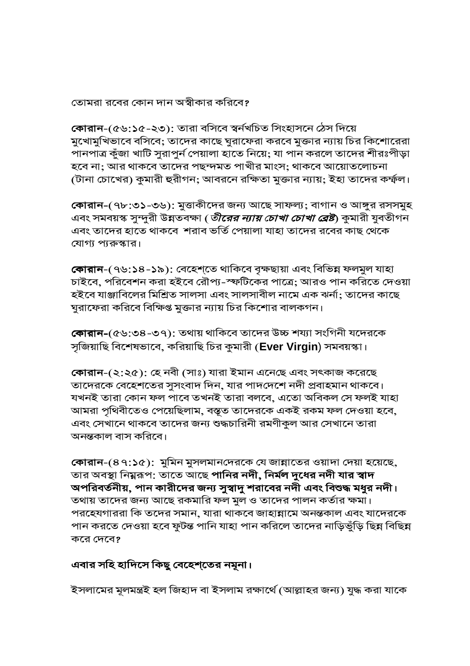তোমরা রবের কোন দান অস্বীকার করিবে?

কোৱান-(৫৬:১৫-২৩): তারা বসিবে স্বর্নখচিত সিংহাসনে ঠেস দিয়ে মুখোমুখিভাবে বসিবে; তাদের কাছে ঘুরাফেরা করবে মুক্তার ন্যায় চির কিশোরেরা পানপাত্র কুঁজা খাটি সুরাপুর্ন পেয়ালা হাতে নিয়ে; যা পান করলে তাদের শীরঃপীড়া হবে না; আর থাকবে তাদের পছন্দমত পাখীর মাংস; থাকবে আয়োতলোচনা (টানা চোখের) কুমারী হুরীগন; আবরনে রক্ষিতা মুক্তার ন্যায়; ইহা তাদের কর্ম্ফল।

কোরান-(৭৮:৩১-৩৬): মুত্তাকীদের জন্য আছে সাফল্য; বাগান ও আঙ্গুর রসসমুহ এবং সমবয়স্ক সুন্দুরী উন্নতবক্ষা (*তীরের ন্যায় চোখা চোখা ব্রেষ্ট*) কুমারী যুবতীগন এবং তাদের হাতে থাকবে শরাব ভর্তি পেয়ালা যাহা তাদের রবের কাছ থেকে যোগ্য প্যরুস্কার।

কোরান-(৭৬:১৪-১৯): বেহেশ্তে থাকিবে বৃক্ষছায়া এবং বিভিন্ন ফলমুল যাহা চাইবে, পরিবেশন করা হইবে রৌপ্য-স্ফটিকের পাত্রে; আরও পান করিতে দেওয়া হইবে যাঞ্জাবিলের মিশ্রিত সালসা এবং সালসাবীল নামে এক ঝর্না; তাদের কাছে ঘুরাফেরা করিবে বিক্ষিপ্ত মুক্তার ন্যায় চির কিশোর বালকগন।

কোরান-(৫৬:৩৪-৩৭): তথায় থাকিবে তাদের উচ্চ শয্যা সংগিনী যদেরকে সূজিয়াছি বিশেষভাবে, করিয়াছি চির কুমারী (Ever Virgin) সমবয়স্কা।

কোরান-(২:২৫): হে নবী (সাঃ) যারা ইমান এনেছে এবং সৎকাজ করেছে তাদেরকে বেহেশতের সুসংবাদ দিন, যার পাদদেশে নদী প্রবাহমান থাকবে। যখনই তারা কোন ফল পাবে তখনই তারা বলবে, এতো অবিকল সে ফলই যাহা আমরা পৃথিবীতেও পেয়েছিলাম, বস্তূত তাদেরকে একই রকম ফল দেওয়া হবে, এবং সেখানে থাকবে তাদের জন্য শুদ্ধচারিনী রমণীকুল আর সেখানে তারা অনন্তকাল বাস করিবে।

কোরান-(৪৭:১৫): মুমিন মুসলমানদেরকে যে জান্নাতের ওয়াদা দেয়া হয়েছে, তার অবস্থা নিম্নরূপ: তাতে আছে **পানির নদী, নির্মল দুধের নদী যার স্বাদ** অপরিবর্তনীয়, পান কারীদের জন্য সুস্বাদু শরাবের নদী এবং বিশুদ্ধ মধুর নদী। তথায় তাদের জন্য আছে রকমারি ফল মুল ও তাদের পালন কর্তার ক্ষমা। পরহেযগাররা কি তদের সমান, যারা থাকবে জাহান্নামে অনন্তকাল এবং যাদেরকে পান করতে দেওয়া হবে ফুটন্ত পানি যাহা পান করিলে তাদের নাড়িভুঁড়ি ছিন্ন বিছিন্ন করে দেবে?

#### এবার সহি হাদিসে কিছু বেহেশ্তের নমূনা।

ইসলামের মূলমন্ত্রই হল জিহাদ বা ইসলাম রক্ষার্থে (আল্লাহর জন্য) যুদ্ধ করা যাকে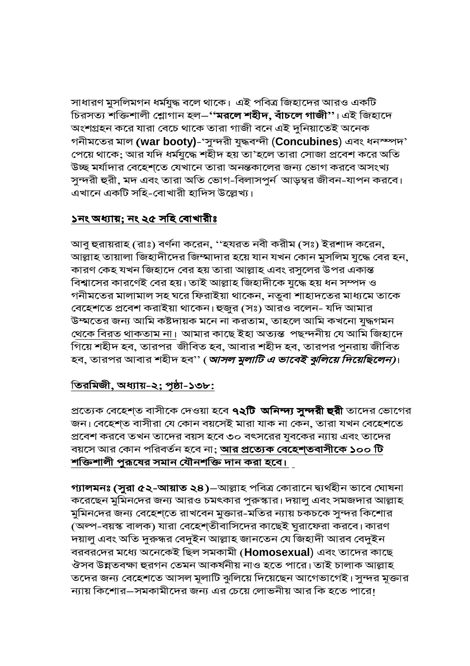সাধারণ মুসলিমগন ধর্মযুদ্ধ বলে থাকে। এই পবিত্র জিহাদের আরও একটি চিরসত্য শক্তিশালী শ্লোগান হল—**''মরলে শহীদ, বাঁচলে গাজী''**। এই জিহাদে অংশগ্রহন করে যারা বেচে থাকে তারা গাজী বনে এই দুনিয়াতেই অনেক গনীমতের মাল (war booty)-'সুন্দরী যুদ্ধবন্দী (Concubines) এবং ধনস্পদ' পেয়ে থাকে; আর যদি ধর্মযুদ্ধে শহীদ হয় তা'হলে তারা সোজা প্রবেশ করে অতি উচ্ছ মর্যাদার বেহেশ্তে যেখানে তারা অনন্তকালের জন্য ভোগ করবে অসংখ্য সুন্দরী হুরী, মদ এবং তারা অতি ভোগ-বিলাসপুর্ন আড়ম্বর জীবন-যাপন করবে। এখানে একটি সহি-বোখারী হাদিস উল্লেখ্য।

#### ১নং অধ্যায়; নং ২৫ সহি বোখারীঃ

আবু হুরায়রাহ (রাঃ) বর্ণনা করেন, ''হযরত নবী করীম (সঃ) ইরশাদ করেন, আল্লাহ তায়ালা জিহাদীদের জিম্মাদার হয়ে যান যখন কোন মুসলিম যুদ্ধে বের হন, কারণ কেহ যখন জিহাদে বের হয় তারা আল্লাহ এবং রসুলের উপর একান্ত বিশ্বাসের কারণেই বের হয়। তাই আল্লাহ জিহাদীকে যুদ্ধে হয় ধন সম্পদ ও গনীমতের মালামাল সহ ঘরে ফিরাইয়া থাকেন, নতুবা শাহাদতের মাধ্যমে তাকে বেহেশতে প্রবেশ করাইয়া থাকেন। হুজুর (সঃ) আরও বলেন- যদি আমার উম্মতের জন্য আমি কষ্টদায়ক মনে না করতাম, তাহলে আমি কখনো যুদ্ধগমন <u>থেকে বিরত থাকতাম না।</u> আমার কাছে ইহা অত্যন্ত পছন্দনীয় যে আমি জিহাদে গিয়ে শহীদ হব, তারপর জীবিত হব, আবার শহীদ হব, তারপর পুনরায় জীবিত হব, তারপর আবার শহীদ হব'' (*আসল মুলাটি এ ভাবেই ঝুলিয়ে দিয়েছিলেন)*।

#### <u>তিরমিজী, অধ্যায়-২; পৃষ্ঠা-১৩৮:</u>

প্রত্যেক বেহেশ্ত বাসীকে দেওয়া হবে **৭২টি অনিন্দ্য সুন্দরী হুরী** তাদের ভোগের জন। বেহেশ্ত বাসীরা যে কোন বয়সেই মারা যাক না কেন, তারা যখন বেহেশতে প্রবেশ করবে তখন তাদের বয়স হবে ৩০ বৎসরের যুবকের ন্যায় এবং তাদের বয়সে আর কোন পরিবর্তন হবে না; **আর প্রত্যেক বেহেশ্তবাসীকে ১০০ টি** শক্তিশালী পুরূষের সমান যৌনশক্তি দান করা হবে।

গ্যালমনঃ (সুরা ৫২-আয়াত ২৪)–আল্লাহ পবিত্র কোরানে দ্ব্যর্থহীন ভাবে ঘোষনা করেছেন মুমিনদের জন্য আরও চমৎকার পুরুস্কার। দয়ালু এবং সমজদার আল্লাহ মুমিনদের জন্য বেহেশ্তে রাখবেন মুক্তার-মতির ন্যায় চকচকে সুন্দর কিশোর (অল্প-বয়স্ক বালক) যারা বেহেশ্তীবাসিদের কাছেই ঘুরাফেরা করবে। কারণ দয়ালু এবং অতি দুরুন্ধর বেদুইন আল্লাহ জানতেন যে জিহাদী আরব বেদুইন বরবরদের মধ্যে অনেকেই ছিল সমকামী (Homosexual) এবং তাদের কাছে ঔসব উন্নতবক্ষা হুরগন তেমন আকর্ষনীয় নাও হতে পারে। তাই চালাক আল্লাহ তদের জন্য বেহেশতে আসল মূলাটি ঝুলিয়ে দিয়েছেন আগেভাগেই। সুন্দর মূক্তার ন্যায় কিশোর–সমকামীদের জন্য এর চেয়ে লোভনীয় আর কি হতে পারে!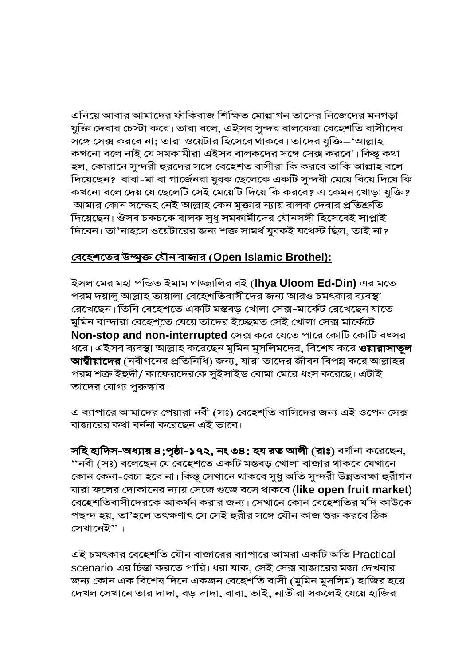এনিয়ে আবার আমাদের ফাঁকিবাজ শিক্ষিত মোল্লাগন তাদের নিজেদের মনগড়া যুক্তি দেবার চেস্টা করে। তারা বলে, এইসব সুন্দর বালকেরা বেহেশতি বাসীদের সঙ্গে সেক্স করবে না; তারা ওয়েটার হিসেবে থাকবে। তাদের যুক্তি–'আল্লাহ কখনো বলে নাই যে সমকামীরা এইসব বালকদের সঙ্গে সেক্স করবে'। কিন্তূ কথা হল, কোরানে সুন্দরী হুরদের সঙ্গে বেহেশত বাসীরা কি করবে তাকি আল্লাহ বলে দিয়েছেন? বাবা-মা বা গার্জেনরা যুবক ছেলেকে একটি সুন্দরী মেয়ে বিয়ে দিয়ে কি কখনো বলে দেয় যে ছেলেটি সেই মেয়েটি দিয়ে কি করবে? এ কেমন খোড়া যুক্তি? আমার কোন সন্দ্ধেহ নেই আল্লাহ কেন মুক্তার ন্যায় বালক দেবার প্রতিশ্রুতি দিয়েছেন। ঔসব চকচকে বালক সুধু সমকামীদের যৌনসঙ্গী হিসেবেই সাপ্লাই দিবেন। তা'নাহলে ওয়েটারের জন্য শক্ত সামর্থ যুবকই যথেস্ট ছিল, তাই না?

#### <u>বেহেশতের উম্মুক্ত যৌন বাজার (Open Islamic Brothel):</u>

ইসলামের মহা পন্ডিত ইমাম গাজ্জালির বই (lhya Uloom Ed-Din) এর মতে পরম দয়ালু আল্লাহ তায়ালা বেহেশতিবাসীদের জন্য আরও চমৎকার ব্যবস্থা রেখেছেন। তিনি বেহেশতে একটি মস্তবড় খোলা সেক্স-মার্কেট রেখেছেন যাতে মুমিন বান্দারা বেহেশ্তে যেয়ে তাদের ইচ্ছেমত সেই খোলা সেক্স মার্কেটে **Non-stop and non-interrupted** সেক্স করে যেতে পারে কোটি কোটি বৎসর ধরে। এইসব ব্যবস্থা আল্লাহ করেছেন মুমিন মুসলিমদের, বিশেষ করে **ওয়ারাসাতুল** আম্বীয়াদের (নবীগনের প্রতিনিধি) জন্য, যারা তাদের জীবন বিপন্ন করে আল্লাহর পরম শত্রু ইহুদী/ কাফেরদেরকে সুইসাইড বোমা মেরে ধংস করেছে। এটাই তাদের যোগ্য পুরুস্কার।

এ ব্যাপারে আমাদের পেয়ারা নবী (সঃ) বেহেশ্তি বাসিদের জন্য এই ওপেন সেক্স বাজারের কথা বর্ননা করেছেন এই ভাবে।

সহি হাদিস-অধ্যায় ৪;পৃষ্ঠা-১৭২, নং ৩৪: হয রত আলী (রাঃ) বর্ণানা করেছেন, ''নবী (সঃ) বলেছেন যে বেহেশতে একটি মস্তবড় খোলা বাজার থাকবে যেখানে কোন কেনা-বেচা হবে না। কিন্তু সেখানে থাকবে সুধু অতি সুন্দরী উন্নতবক্ষা হুরীগন যারা ফলের দোকানের ন্যায় সেজে গুজে বসে থাকবে (like open fruit market) বেহেশতিবাসীদেরকে আকর্ষন করার জন্য। সেখানে কোন বেহেশতির যদি কাউকে পছন্দ হয়, তা'হলে তৎক্ষণাৎ সে সেই হুরীর সঙ্গে যৌন কাজ শুরু করবে ঠিক সেখানেই''।

এই চমৎকার বেহেশতি যৌন বাজারের ব্যাপারে আমরা একটি অতি Practical scenario এর চিন্তা করতে পারি। ধরা যাক, সেই সেক্স বাজারের মজা দেখবার জন্য কোন এক বিশেষ দিনে একজন বেহেশতি বাসী (মুমিন মুসলিম) হাজির হয়ে দেখল সেখানে তার দাদা, বড় দাদা, বাবা, ভাই, নাতীরা সকলেই যেয়ে হাজির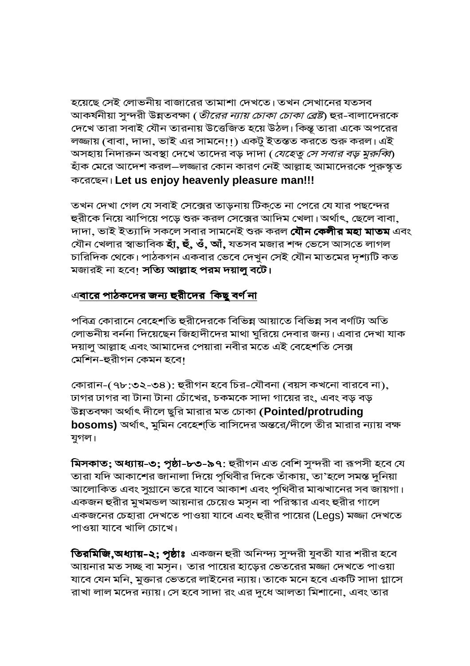হয়েছে সেই লোভনীয় বাজারের তামাশা দেখতে। তখন সেখানের যতসব আকৰ্ষনীয়া সুন্দরী উন্নতবক্ষা (*তীরের ন্যায় চোকা চোকা ব্রেষ্ট*) হুর-বালাদেরকে দেখে তারা সবাই যৌন তারনায় উত্তেজিত হয়ে উঠল। কিন্তু তারা একে অপরের লজ্জায় (বাবা, দাদা, ভাই এর সামনে!!) একটু ইতন্তত করতে শুরু করল। এই অসহায় নিদারুন অবস্থা দেখে তাদের বড় দাদা (*যেহেতু সে সবার বড় মুরুব্বি*) হাঁক মেরে আদেশ করল–লজ্জার কোন কারণ নেই আল্লাহ আমাদেরকে পুরুস্কৃত করেছেন। Let us enjoy heavenly pleasure man!!!

তখন দেখা গেল যে সবাই সেক্সের তাড়নায় টিক্তে না পেরে যে যার পছন্দের হুরীকে নিয়ে ঝাপিয়ে পড়ে শুরু করল সেক্সের আদিম খেলা। অর্থাৎ, ছেলে বাবা, দাদা, ভাই ইত্যাদি সকলে সবার সামনেই শুরু করল **যৌন কেলীর মহা মাতম** এবং যৌন খেলার স্বাভাবিক **হাঁ, হুঁ, ওঁ, আঁ,** যতসব মজার শব্দ ভেসে আসতে লাগল চারিদিক থেকে। পাঠকগন একবার ভেবে দেখুন সেই যৌন মাতমের দৃশ্যটি কত মজারই না হবে! সত্যি আল্লাহ পরম দয়ালু বটে।

## <u>এবারে পাঠকদের জন্য হুরীদের কিছু বর্ণ না</u>

পবিত্র কোরানে বেহেশতি হুরীদেরকে বিভিন্ন আয়াতে বিভিন্ন সব বর্ণাট্য অতি লোভনীয় বর্ননা দিয়েছেন জিহাদীদের মাথা ঘুরিয়ে দেবার জন্য। এবার দেখা যাক দয়ালু আল্লাহ এবং আমাদের পেয়ারা নবীর মতে এই বেহেশতি সেক্স মেশিন-হুরীগন কেমন হবে।

কোরান-(৭৮:৩২-৩৪): হুরীগন হবে চির-যৌবনা (বয়স কখনো বারবে না), ঢাগর ঢাগর বা টানা টানা চোঁখের, চকমকে সাদা গায়ের রং, এবং বড় বড় উন্নতবক্ষা অৰ্থাৎ দীলে ছুরি মারার মত চোকা (Pointed/protruding bosoms) অর্থাৎ, মুমিন বেহেশ্তি বাসিদের অন্তরে/দীলে তীর মারার ন্যায় বক্ষ যুগল।

মিসকাত; অধ্যায়-৩; পৃষ্ঠা-৮৩-৯৭: হুরীগন এত বেশি সুন্দরী বা রূপসী হবে যে তারা যদি আকাশের জানালা দিয়ে পৃথিবীর দিকে তাঁকায়, তা'হলে সমস্ত দুনিয়া আলোকিত এবং সুগ্রানে ভরে যাবে আকাশ এবং পৃথিবীর মাঝখানের সব জায়গা। একজন হুরীর মুখমন্ডল আয়নার চেয়েও মসূন বা পরিস্কার এবং হুরীর গালে একজনের চেহারা দেখতে পাওয়া যাবে এবং হুরীর পায়ের (Legs) মজ্জা দেখতে পাওয়া যাবে খালি চোখে।

**তিরমিজি,অধ্যায়-২; পৃষ্ঠাঃ** একজন হুরী অনিন্দ্য সুন্দরী যুবতী যার শরীর হবে আয়নার মত সচ্ছ বা মসৃন। তার পায়ের হাড়ের ভেতরের মজ্জা দেখতে পাওয়া যাবে যেন মনি, মুক্তার ভেতরে লাইনের ন্যায়। তাকে মনে হবে একটি সাদা গ্লাসে রাখা লাল মদের ন্যায়। সে হবে সাদা রং এর দুধে আলতা মিশানো, এবং তার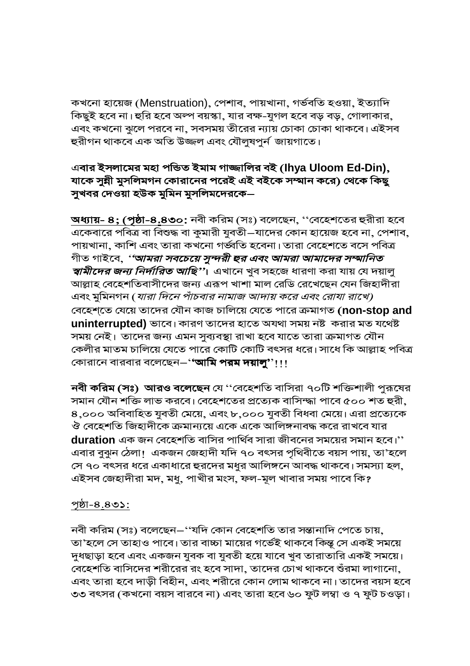কখনো হায়েজ (Menstruation), পেশাব, পায়খানা, গৰ্ভবতি হওয়া, ইত্যাদি কিছুই হবে না। হুরি হবে অল্প বয়স্কা, যার বক্ষ-যুগল হবে বড় বড়, গোলাকার, এবং কখনো ঝুলে পরবে না, সবসময় তীরের ন্যায় চোকা চোকা থাকবে। এইসব হুরীগন থাকবে এক অতি উজ্জল এবং যৌলুষপুর্ন জায়গাতে।

#### এবার ইসলামের মহা পন্ডিত ইমাম গাজ্জালির বই (lhya Uloom Ed-Din), যাকে সুন্নী মুসলিমগন কোরানের পরেই এই বইকে সম্মান করে) থেকে কিছু সুখবর দেওয়া হউক মুমিন মুসলিমদেরকে–

<u> **অধ্যায়- ৪; (পৃষ্ঠা-৪.৪৩০**: নবী করিম (</u>সঃ) বলেছেন, ''বেহেশতের হুরীরা হবে একেবারে পবিত্র বা বিশুদ্ধ বা কুমারী যুবতী—যাদের কোন হায়েজ হবে না, পেশাব, পায়খানা, কাশি এবং তারা কখনো গর্ভ্বতি হবেনা। তারা বেহেশতে বসে পবিত্র গীত গাইবে, *''আমরা সবচেয়ে সুন্দরী ছর এবং আমরা আমাদের সম্মানিত স্বামীদের জন্য নির্দারিত আছি*''। এখানে খুব সহজে ধারণা করা যায় যে দয়ালু আল্লাহ বেহেশতিবাসীদের জন্য এরূপ খাশা মাল রেডি রেখেছেন যেন জিহাদীরা এবং মুমিনগন (*যারা দিনে পাঁচবার নামাজ আদায় করে এবং রোযা রাখে)* বেহেশ্তে যেয়ে তাদের যৌন কাজ চালিয়ে যেতে পারে ক্রমাগত (non-stop and **uninterrupted)** ভাবে। কারণ তাদের হাতে অযথা সময় নষ্ট করার মত যথেষ্ট সময় নেই। তাদের জন্য এমন সুব্যবস্থা রাখা হবে যাতে তারা ক্রমাগত যৌন কেলীর মাতম চালিয়ে যেতে পারে কোটি কোটি বৎসর ধরে। সাধে কি আল্লাহ পবিত্র কোরানে বারবার বলেছেন–''আমি পরম দয়ালু''!!!

**নবী করিম (সঃ) আরও বলেছেন** যে ''বেহেশতি বাসিরা ৭০টি শক্তিশালী পুরূষের সমান যৌন শক্তি লাভ করবে। বেহেশতের প্রত্যেক বাসিম্দ্ধা পাবে ৫০০ শত হুরী, ৪,০০০ অবিবাহিত যুবতী মেয়ে, এবং ৮,০০০ যুবতী বিধবা মেয়ে। এরা প্রত্যেকে ঔ বেহেশতি জিহাদীকে ক্রমান্যয়ে একে একে আলিঙ্গনাবদ্ধ করে রাখবে যার  $d$ uration এক জন বেহেশতি বাসির পার্থিব সারা জীবনের সময়ের সমান হবে।'' এবার বুঝুন ঠেলা। একজন জেহাদী যদি ৭০ বৎসর পৃথিবীতে বয়স পায়, তা'হলে সে ৭০ বৎসর ধরে একাধারে হুরদের মধুর আলিঙ্গনে আবদ্ধ থাকবে। সমস্যা হল, এইসব জেহাদীরা মদ, মধু, পাখীর মংস, ফল-মূল খাবার সময় পাবে কি?

#### <u> পৃষ্ঠা-৪.৪৩১:</u>

নবী করিম (সঃ) বলেছেন–''যদি কোন বেহেশতি তার সন্তানাদি পেতে চায়, তা'হলে সে তাহাও পাবে। তার বাচ্চা মায়ের গর্ভেই থাকবে কিন্তু সে একই সময়ে দুধছাড়া হবে এবং একজন যুবক বা যুবতী হয়ে যাবে খুব তারাতারি একই সময়ে। বেহেশতি বাসিদের শরীরের রং হবে সাদা, তাদের চোখ থাকবে শুঁরমা লাগানো, এবং তারা হবে দাড়ী বিহীন, এবং শরীরে কোন লোম থাকবে না। তাদের বয়স হবে ৩৩ বৎসর (কখনো বয়স বারবে না) এবং তারা হবে ৬০ ফুট লম্বা ও ৭ ফুট চওড়া।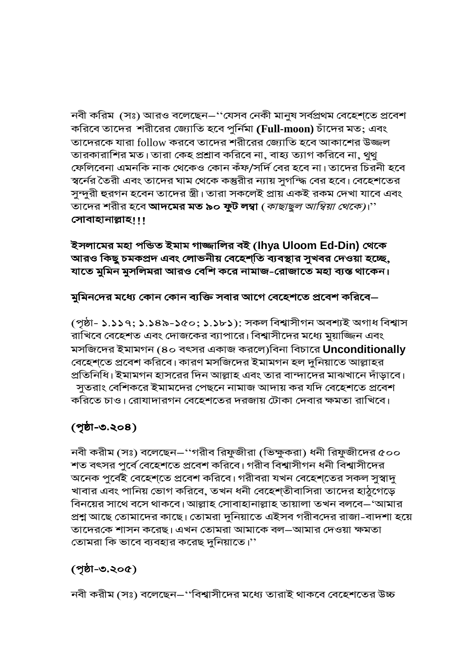নবী করিম (সঃ) আরও বলেছেন–''যেসব নেকী মানুষ সর্বপ্রথম বেহেশ্তে প্রবেশ করিবে তাদের শরীরের জ্যোতি হবে পুর্নিমা (Full-moon) চাঁদের মত; এবং তাদেরকে যারা follow করবে তাদের শরীরের জ্যোতি হবে আকাশের উজ্জল তারকারাশির মত। তারা কেহ প্রশ্রাব করিবে না, বাহ্য ত্যাগ করিবে না, থুথু ফেলিবেনা এমনকি নাক থেকেও কোন কঁফ/সর্দি বের হবে না। তাদের চিরনী হবে স্বর্নের তৈরী এবং তাদের ঘাম থেকে কস্তুরীর ন্যায় সুগন্দ্ধি বের হবে। বেহেশতের সুন্দুরী হুরগন হবেন তাদের স্ত্রী। তারা সকলেই প্রায় একই রকম দেখা যাবে এবং তাদের শরীর হবে **আদমের মত ৯০ ফুট লম্বা** (*কাছাছুল আম্বিয়া থেকে)*।'' সোবাহানাল্লাহ!!!

ইসলামের মহা পন্ডিত ইমাম গাজ্জালির বই (lhya Uloom Ed-Din) থেকে আরও কিছু চমকপ্রদ এবং লোভনীয় বেহেশ্তি ব্যবস্থার সুখবর দেওয়া হচ্ছে, যাতে মুমিন মুসলিমরা আরও বেশি করে নামাজ-রোজাতে মহা ব্যস্ত থাকেন।

মুমিনদের মধ্যে কোন কোন ব্যক্তি সবার আগে বেহেশতে প্রবেশ করিবে–

(পৃষ্ঠা- ১.১১৭; ১.১৪৯-১৫০; ১.১৮১): সকল বিশ্বাসীগন অবশ্যই অগাধ বিশ্বাস রাখিবে বেহেশত এবং দোজকের ব্যাপারে। বিশ্বাসীদের মধ্যে মুয়াজ্জিন এবং মসজিদের ইমামগন (৪০ বৎসর একাজ করলে)বিনা বিচারে Unconditionally বেহেশতে প্রবেশ করিবে। কারণ মসজিদের ইমামগন হল দুনিয়াতে আল্লাহর প্রতিনিধি। ইমামগন হাসরের দিন আল্লাহ এবং তার বান্দাদের মাঝখানে দাঁড়াবে। সুতরাং বেশিকরে ইমামদের পেছনে নামাজ আদায় কর যদি বেহেশতে প্রবেশ করিতে চাও। রোযাদারগন বেহেশতের দরজায় টোকা দেবার ক্ষমতা রাখিবে।

## (পৃষ্ঠা-৩.২০৪)

নবী করীম (সঃ) বলেছেন–''গরীব রিফুজীরা (ভিক্ষুকরা) ধনী রিফুজীদের ৫০০ শত বৎসর পুর্বে বেহেশতে প্রবেশ করিবে। গরীব বিশ্বাসীগন ধনী বিশ্বাসীদের অনেক পুর্বেই বেহেশ্তে প্রবেশ করিবে। গরীবরা যখন বেহেশ্তের সকল সুস্বাদু খাবার এবং পানিয় ভোগ করিবে, তখন ধনী বেহেশ্তীবাসিরা তাদের হাঠুগেড়ে বিনয়ের সাথে বসে থাকবে। আল্লাহ সোবাহানাল্লাহ তায়ালা তখন বলবে–'আমার প্রশ্ন আছে তোমাদের কাছে। তোমরা দুনিয়াতে এইসব গরীবদের রাজা-বাদশা হয়ে তাদেরকে শাসন করেছ। এখন তোমরা আমাকে বল–আমার দেওয়া ক্ষমতা তোমরা কি ভাবে ব্যবহার করেছ দুনিয়াতে।''

## $(201 - 0.200)$

নবী করীম (সঃ) বলেছেন–''বিশ্বাসীদের মধ্যে তারাই থাকবে বেহেশতের উচ্চ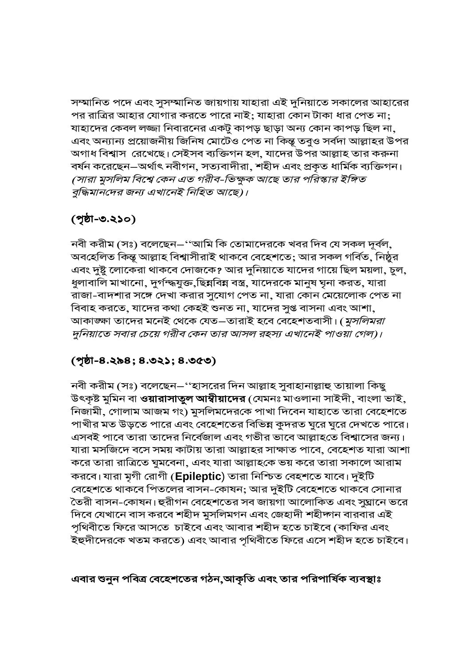সম্মানিত পদে এবং সুসম্মানিত জায়গায় যাহারা এই দুনিয়াতে সকালের আহারের পর রাত্রির আহার যোগার করতে পারে নাই; যাহারা কোন টাকা ধার পেত না; যাহাদের কেবল লজ্জা নিবারনের একটু কাপড় ছাড়া অন্য কোন কাপড় ছিল না, এবং অন্যান্য প্রয়োজনীয় জিনিষ মোটেও পেত না কিন্তূ তবুও সর্বদা আল্লাহর উপর অগাধ বিশ্বাস রেখেছে। সেইসব ব্যক্তিগন হল, যাদের উপর আল্লাহ তার করুনা বর্ষন করেছেন–অর্থাৎ নবীগন, সত্যবাদীরা, শহীদ এবং প্রকৃত ধার্মিক ব্যক্তিগন। (সারা মুসলিম বিশ্বে কেন এত গরীব-ভিক্ষুক আছে তার পরিস্কার ইঙ্গিত বুদ্ধিমানদের জন্য এখানেই নিহিত আছে)।

## $(201 - 0.250)$

নবী করীম (সঃ) বলেছেন $-$ ''আমি কি তোমাদেরকে খবর দিব যে সকল দূর্বল, অবহেলিত কিন্তূ আল্লাহ বিশ্বাসীরাই থাকবে বেহেশতে; আর সকল গর্বিত, নিষ্ঠুর এবং দুষ্টু লোকেরা থাকবে দোজকে? আর দুনিয়াতে যাদের গায়ে ছিল ময়লা, চুল, ধুলাবালি মাখানো, দুর্গন্দ্ধযুক্ত,ছিন্নবিন্ন বস্ত্র, যাদেরকে মানুষ ঘৃনা করত, যারা রাজা-বাদশার সঙ্গে দেখা করার সুযোগ পেত না, যারা কোন মেয়েলোক পেত না বিবাহ করতে, যাদের কথা কেহই শুনত না, যাদের সুগু বাসনা এবং আশা, আকাজ্ঞ্চা তাদের মনেই থেকে যেত—তারাই হবে বেহেশতবাসী। (*মুসলিমরা* দুনিয়াতে সবার চেয়ে গরীব কেন তার আসল রহস্য এখানেই পাওয়া গেল)।

### (পৃষ্ঠা-৪.২৯৪; ৪.৩২১; ৪.৩৫৩)

নবী করীম (সঃ) বলেছেন–''হাসরের দিন আল্লাহ সুবাহানাল্লাহু তায়ালা কিছু উৎকৃষ্ট মুমিন বা **ওয়ারাসাতুল আম্বীয়াদের** (যেমনঃ মাওলানা সাইদী, বাংলা ভাই, নিজামী, গোলাম আজম গং) মুসলিমদেরকে পাখা দিবেন যাহাতে তারা বেহেশতে পাখীর মত উড়তে পারে এবং বেহেশতের বিভিন্ন কুদরত ঘুরে ঘুরে দেখতে পারে। এসবই পাবে তারা তাদের নির্বেজাল এবং গভীর ভাবে আল্লাহতে বিশ্বাসের জন্য। যারা মসজিদে বসে সময় কাটায় তারা আল্লাহর সাক্ষাত পাবে, বেহেশত যারা আশা করে তারা রাত্রিতে ঘুমবেনা, এবং যারা আল্লাহকে ভয় করে তারা সকালে আরাম করবে। যারা মৃগী রোগী (Epileptic) তারা নিশ্চিত বেহশতে যাবে। দুইটি বেহেশতে থাকবে পিতলের বাসন-কোষন; আর দুইটি বেহেশতে থাকবে সোনার তৈরী বাসন-কোষন। হুরীগন বেহেশতের সব জায়গা আলোকিত এবং সুঘ্রানে ভরে দিবে যেখানে বাস করবে শহীদ মুসলিমগন এবং জেহাদী শহীদ্গন বারবার এই পৃথিবীতে ফিরে আসতে চাইবে এবং আবার শহীদ হতে চাইবে (কাফির এবং ইহুদীদেরকে খতম করতে) এবং আবার পৃথিবীতে ফিরে এসে শহীদ হতে চাইবে।

#### এবার শুনুন পবিত্র বেহেশতের গঠন,আকৃতি এবং তার পরিপার্ষিক ব্যবস্থাঃ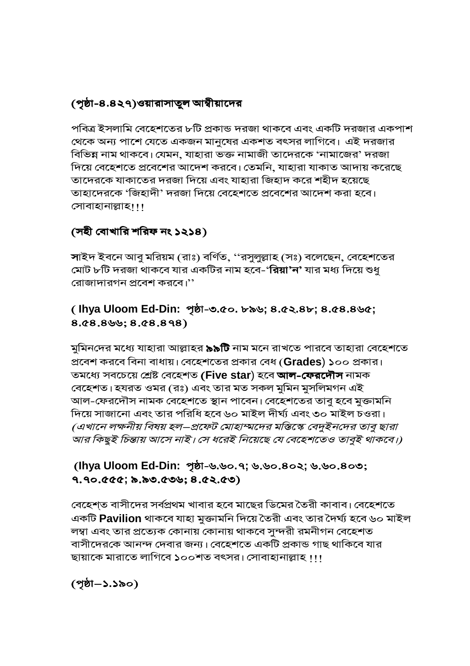## (পৃষ্ঠা-৪.৪২৭)ওয়ারাসাতুল আম্বীয়াদের

পবিত্র ইসলামি বেহেশতের ৮টি প্রকান্ড দরজা থাকবে এবং একটি দরজার একপাশ থেকে অন্য পাশে যেতে একজন মানুষের একশত বৎসর লাগিবে। এই দরজার বিভিন্ন নাম থাকবে। যেমন, যাহারা ভক্ত নামাজী তাদেরকে 'নামাজের' দরজা দিয়ে বেহেশতে প্রবেশের আদেশ করবে। তেমনি, যাহারা যাকাত আদায় করেছে তাদেরকে যাকাতের দরজা দিয়ে এবং যাহারা জিহাদ করে শহীদ হয়েছে তাহাদেরকে 'জিহাদী' দরজা দিয়ে বেহেশতে প্রবেশের আদেশ করা হবে। সোবাহানাল্লাহ।।।

## (সহী বোখারি শরিফ নং ১২১৪)

সাইদ ইবনে আবু মরিয়ম (রাঃ) বর্ণিত, ''রসুলুল্লাহ (সঃ) বলেছেন, বেহেশতের মোট ৮টি দরজা থাকবে যার একটির নাম হবে-'**রিয়া'ন'** যার মধ্য দিয়ে শুধু রোজাদারগন প্রবেশ করবে।''

## (Ihya Uloom Ed-Din: পৃষ্ঠা-৩.৫০. ৮৯৬; ৪.৫২.৪৮; ৪.৫৪.৪৬৫;  $8.68.8$ 99;  $8.68.898$ )

মুমিনদের মধ্যে যাহারা আল্লাহর **৯৯টি** নাম মনে রাখতে পারবে তাহারা বেহেশতে প্রবেশ করবে বিনা বাধায়। বেহেশতের প্রকার বেধ (Grades) ১০০ প্রকার। তমধ্যে সবচেয়ে শ্ৰেষ্ট বেহেশত (Five star) হবে আল-ফেরদৌস নামক বেহেশত। হযরত ওমর (রঃ) এবং তার মত সকল মুমিন মুসলিমগন এই আল-ফেরদৌস নামক বেহেশতে স্থান পাবেন। বেহেশতের তাবু হবে মুক্তামনি দিয়ে সাজানো এবং তার পরিধি হবে ৬০ মাইল দীর্ঘ্য এবং ৩০ মাইল চওরা। (এখানে লক্ষনীয় বিষয় হল–প্রফেট মোহাম্মদের মস্তিস্কে বেদুইনদের তাবু ছারা আর কিছুই চিন্তায় আসে নাই। সে ধরেই নিয়েছে যে বেহেশতেও তাবুই থাকবে।)

#### (lhya Uloom Ed-Din: পৃষ্ঠা-৬.৬০.৭; ৬.৬০.৪০২; ৬.৬০.৪০৩; ৭.৭০.৫৫৫; ৯.৯৩.৫৩৬; ৪.৫২.৫৩)

বেহেশ্ত বাসীদের সর্বপ্রথম খাবার হবে মাছের ডিমের তৈরী কাবাব। বেহেশতে একটি Pavilion থাকবে যাহা মুক্তামনি দিয়ে তৈরী এবং তার দৈর্ঘ্য হবে ৬০ মাইল লম্বা এবং তার প্রত্যেক কোনায় কোনায় থাকবে সুন্দরী রমনীগন বেহেশত বাসীদেরকে আনন্দ দেবার জন্য। বেহেশতে একটি প্রকান্ড গাছ থাকিবে যার ছায়াকে মারাতে লাগিবে ১০০শত বৎসর। সোবাহানাল্লাহ !!!

(পৃষ্ঠা–১.১৯০)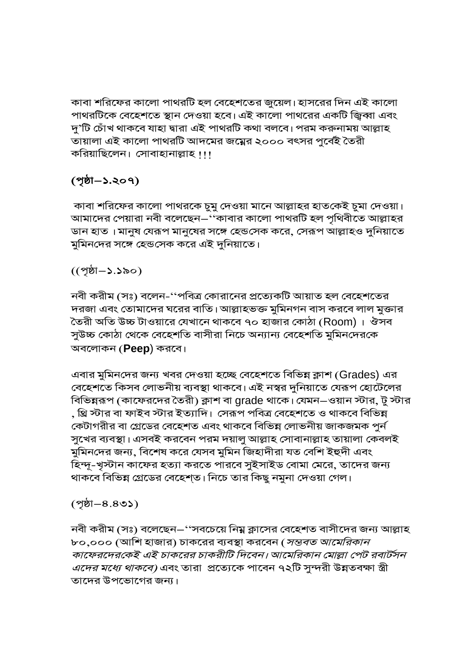কাবা শরিফের কালো পাথরটি হল বেহেশতের জুয়েল। হাসরের দিন এই কালো পাথরটিকে বেহেশতে স্থান দেওয়া হবে। এই কালো পাথরের একটি জ্বিব্বা এবং দু'টি চোঁখ থাকবে যাহা দ্বারা এই পাথরটি কথা বলবে। পরম করুনাময় আল্লাহ তায়ালা এই কালো পাথরটি আদমের জম্নের ২০০০ বৎসর পুর্বেই তৈরী করিয়াছিলেন। সোবাহানাল্লাহ !!!

## (পৃষ্ঠা–১.২০৭)

কাবা শরিফের কালো পাথরকে চুমু দেওয়া মানে আল্লাহর হাতকেই চুমা দেওয়া। আমাদের পেয়ারা নবী বলেছেন–''কাবার কালো পাথরটি হল পৃথিবীতে আল্লাহর ডান হাত। মানুষ যেরূপ মানুষের সঙ্গে হেন্ডসেক করে, সেরূপ আল্লাহও দুনিয়াতে মুমিনদের সঙ্গে হেন্ডসেক করে এই দুনিয়াতে।

 $((\gamma\dot{\delta}I - \delta . \delta \delta))$ 

নবী করীম (সঃ) বলেন-''পবিত্র কোরানের প্রত্যেকটি আয়াত হল বেহেশতের দরজা এবং তোমাদের ঘরের বাতি। আল্লাহভক্ত মুমিনগন বাস করবে লাল মুক্তার তৈরী অতি উচ্চ টাওয়ারে যেখানে থাকবে ৭০ হাজার কোঠা (Room)। ঔসব সুউচ্চ কোঠা থেকে বেহেশতি বাসীরা নিচে অন্যান্য বেহেশতি মুমিনদেরকে অবলোকন (**Peep**) করবে।

এবার মুমিনদের জন্য খবর দেওয়া হচ্ছে বেহেশতে বিভিন্ন ক্লাশ (Grades) এর বেহেশতে কিসব লোভনীয় ব্যবস্থা থাকবে। এই নস্বর দুনিয়াতে যেরূপ হোটেলের বিভিন্নরূপ (কাফেরদের তৈরী) ক্লাশ বা grade থাকে। যেমন–ওয়ান স্টার, টু স্টার , থ্রি স্টার বা ফাইব স্টার ইত্যাদি। সেরূপ পবিত্র বেহেশতে ও থাকবে বিভিন্ন কেটাগরীর বা গ্রেডের বেহেশত এবং থাকবে বিভিন্ন লোভনীয় জাকজমক পুর্ন সুখের ব্যবস্থা। এসবই করবেন পরম দয়ালু আল্লাহ সোবানাল্লাহ তায়ালা কেবলই মুমিনদের জন্য, বিশেষ করে যেসব মুমিন জিহাদীরা যত বেশি ইহুদী এবং হিন্দূ-খৃস্টান কাফের হত্যা করতে পারবে সুইসাইড বোমা মেরে, তাদের জন্য থাকবে বিভিন্ন গ্রেডের বেহেশ্ত। নিচে তার কিছু নমুনা দেওয়া গেল।

#### $(20.8 - 8)$

নবী করীম (সঃ) বলেছেন–''সবচেয়ে নিম্ন ক্লাসের বেহেশত বাসীদের জন্য আল্লাহ ৮০,০০০ (আশি হাজার) চাকরের ব্যবস্থা করবেন (*সম্ভবত আমেরিকান* কাফেরদেরকেই এই চাকরের চাকরীটি দিবেন। আমেরিকান মোল্লা পেট রবার্টসন *এদের মধ্যে থাকবে)* এবং তারা প্রত্যেকে পাবেন ৭২টি সুন্দরী উন্নতবক্ষা স্ত্রী তাদের উপভোগের জন্য।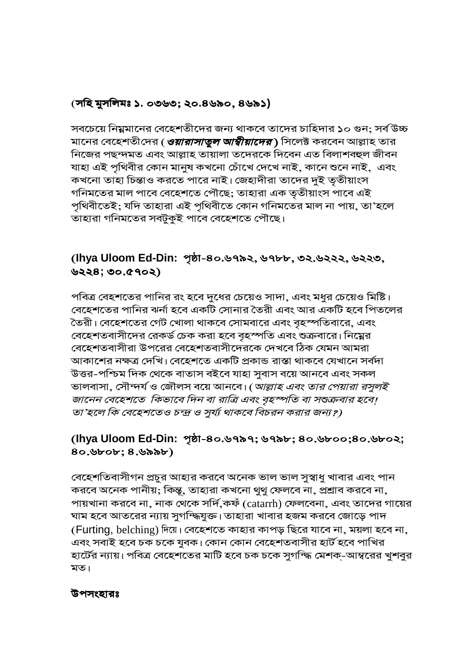#### (সহি মুসলিমঃ ১. ০৩৬৩; ২০.৪৬৯০, ৪৬৯১)

সবচেয়ে নিম্নমানের বেহেশতীদের জন্য থাকবে তাদের চাহিদার ১০ গুন: সর্ব উচ্চ মানের বেহেশতীদের (*ওয়ারাসাতুল আম্বীয়াদের*) সিলেক্ট করবেন আল্লাহ তার নিজের পছন্দমত এবং আল্লাহ তায়ালা তদেরকে দিবেন এত বিলাশবহুল জীবন যাহা এই পৃথিবীর কোন মানুষ কখনো চোঁখে দেখে নাই, কানে শুনে নাই, এবং কখনো তাহা চিন্তাও করতে পারে নাই। জেহাদীরা তাদের দুই তৃতীয়াংস গনিমতের মাল পাবে বেহেশতে পৌছে; তাহারা এক তৃতীয়াংস পাবে এই পৃথিবীতেই; যদি তাহারা এই পৃথিবীতে কোন গনিমতের মাল না পায়, তা'হলে তাহারা গনিমতের সবটুকুই পাবে বেহেশতে পৌছে।

## (lhya Uloom Ed-Din: পৃষ্ঠা-৪০.৬৭৯২, ৬৭৮৮, ৩২.৬২২২, ৬২২৩,  $0.69028$ ;  $0.6902$

পবিত্র বেহশতের পানির রং হবে দুধের চেয়েও সাদা, এবং মধুর চেয়েও মিষ্টি। বেহেশতের পানির ঝর্না হবে একটি সোনার তৈরী এবং আর একটি হবে পিতলের তৈরী। বেহেশতের গেট খোলা থাকবে সোমবারে এবং বৃহস্পতিবারে, এবং বেহেশতবাসীদের রেকর্ড চেক করা হবে বৃহস্পতি এবং শুক্রবারে। নিম্নের বেহেশতবাসীরা উপরের বেহেশতবাসীদেরকে দেখবে ঠিক যেমন আমরা আকাশের নক্ষত্র দেখি। বেহেশতে একটি প্রকান্ড রাস্তা থাকবে যেখানে সর্বদা উত্তর-পশ্চিম দিক থেকে বাতাস বইবে যাহা সুবাস বয়ে আনবে এবং সকল ভালবাসা, সৌন্দর্য ও জৌলস বয়ে আনবে। (*আল্লাহ এবং তার পেয়ারা রসুলই* জানেন বেহেশতে কিভাবে দিন বা রাত্রি এবং বৃহস্পতি বা সশুক্রবার হবে। তা'হলে কি বেহেশতেও চন্দ্র ও সূর্য্য থাকবে বিচরন করার জন্য?)

#### (lhya Uloom Ed-Din: পৃষ্ঠা-৪০.৬৭৯৭; ৬৭৯৮; ৪০.৬৮০০;৪০.৬৮০২;  $80.$ brob;  $8.$ babb)

বেহেশতিবাসীগন প্রচুর আহার করবে অনেক ভাল ভাল সুস্বাধু খাবার এবং পান করবে অনেক পানীয়; কিন্তু, তাহারা কখনো থুথু ফেলবে না, প্রশ্রাব করবে না, পায়খানা করবে না, নাক থেকে সর্দি,কফঁ (catarrh) ফেলবেনা, এবং তাদের গায়ের ঘাম হবে আতরের ন্যায় সুগন্দ্ধিযুক্ত। তাহারা খাবার হজম করবে জোড়ে পাদ (Furting, belching) দিয়ে। বেহেশতে কাহার কাপড় ছিরে যাবে না, ময়লা হবে না, এবং সবাই হবে চক চকে যুবক। কোন কোন বেহেশতবাসীর হার্ট হবে পাখির হার্টের ন্যায়। পবিত্র বেহেশতের মাটি হবে চক চকে সুগন্দ্ধি মেশক্-আম্বরের খুশবুর মত।

#### উপসংহারঃ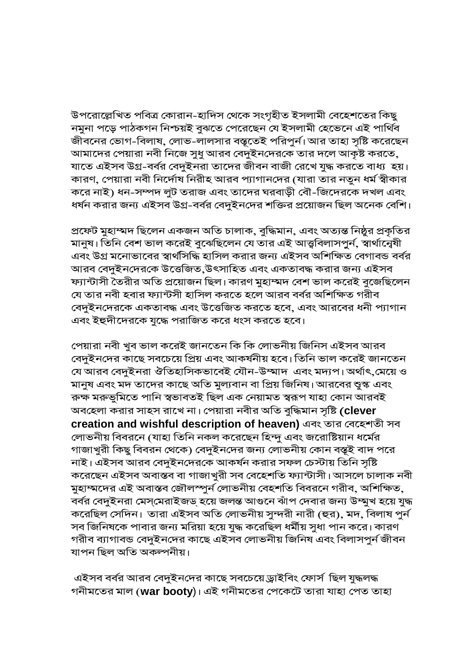উপরোল্লেখিত পবিত্র কোরান-হাদিস থেকে সংগৃহীত ইসলামী বেহেশতের কিছু নমুনা পড়ে পাঠকগন নিশ্চয়ই বুঝতে পেরেছেন যে ইসলামী হেভেনে এই পার্থিব জীবনের ভোগ-বিলাষ, লোভ-লালসার বস্তৃতেই পরিপুর্ন। আর তাহা সৃষ্টি করেছেন আমাদের পেয়ারা নবী নিজে সুধু আরব বেদুইনদেরকে তার দলে আকৃষ্ট করতে, যাতে এইসব উগ্র-বর্বর বেদুইনরা তাদের জীবন বাজী রেখে যুদ্ধ করতে বাধ্য হয়। কারণ, পেয়ারা নবী নির্দোষ নিরীহ আরব প্যাগানদের (যারা তার নতুন ধর্ম স্বীকার করে নাই) ধন-সম্পদ লুট তরাজ এবং তাদের ঘরবাড়ী বৌ-জিদেরকে দখল এবং ধর্ষন করার জন্য এইসব উগ্র-বর্বর বেদুইনদের শক্তির প্রয়োজন ছিল অনেক বেশি।

প্রফেট মুহাম্মদ ছিলেন একজন অতি চালাক, বুদ্ধিমান, এবং অত্যন্ত নিষ্ঠুর প্রকৃতির মানুষ। তিনি বেশ ভাল করেই বুঝেছিলেন যে তার এই আত্ত্ববিলাসপুর্ন, স্বার্থান্বেষী এবং উগ্র মনোভাবের স্বার্থসিদ্ধি হাসিল করার জন্য এইসব অশিক্ষিত বেগাবন্ড বর্বর আরব বেদুইনদেরকে উত্তেজিত,উৎসাহিত এবং একতাবদ্ধ করার জন্য এইসব ফ্যান্টাসী তৈরীর অতি প্রয়োজন ছিল। কারণ মুহাম্মদ বেশ ভাল করেই বুজেছিলেন যে তার নবী হবার ফ্যান্টসী হাসিল করতে হলে আরব বর্বর অশিক্ষিত গরীব বেদুইনদেরকে একতাবদ্ধ এবং উত্তেজিত করতে হবে, এবং আরবের ধনী প্যাগান এবং ইহুদীদেরকে যুদ্ধে পরাজিত করে ধংস করতে হবে।

পেয়ারা নবী খুব ভাল করেই জানতেন কি কি লোভনীয় জিনিস এইসব আরব বেদুইনদের কাছে সবচেয়ে প্রিয় এবং আকর্ষনীয় হবে। তিনি ভাল করেই জানতেন যে আরব বেদুইনরা ঔতিহাসিকভাবেই যৌন-উম্মাদ এবং মদ্যপ। অর্থাৎ,মেয়ে ও মানুষ এবং মদ তাদের কাছে অতি মুল্যবান বা প্রিয় জিনিষ। আরবের শ্বুস্ক এবং রুক্ষ মরুভূমিতে পানি স্বভাবতই ছিল এক নেয়ামত স্বরূপ যাহা কোন আরবই অবহেলা করার সাহস রাখে না। পেয়ারা নবীর অতি বুদ্ধিমান সৃষ্টি (clever creation and wishful description of heaven) এবং তার বেহেশতী সব লোভনীয় বিবরনে (যাহা তিনি নকল করেছেন হিন্দু এবং জরোষ্টিয়ান ধর্মের গাজাখুরী কিছু বিবরন থেকে) বেদুইনদের জন্য লোভনীয় কোন বস্তূই বাদ পরে নাই। এইসব আরব বেদুইনদেরকে আকর্ষন করার সফল চেস্টায় তিনি সৃষ্টি করেছেন এইসব অবাস্তব বা গাজাখুরী সব বেহেশতি ফ্যান্টাসী। আসলে চালাক নবী মুহাম্মদের এই অবাস্তব জৌলস্পুর্ন লোভনীয় বেহশতি বিবরনে গরীব, অশিক্ষিত, বর্বর বেদুইনরা মেস্মেরাইজড্ হয়ে জলন্ত আগুনে ঝাঁপ দেবার জন্য উম্মুখ হয়ে যুদ্ধ করেছিল সেদিন। তারা এইসব অতি লোভনীয় সুন্দরী নারী (হুর), মদ, বিলাষ পুর্ন সব জিনিষকে পাবার জন্য মরিয়া হয়ে যুদ্ধ করেছিল ধর্মীয় সুধা পান করে। কারণ গরীব ব্যাগাবন্ড বেদুইনদের কাছে এইসব লোভনীয় জিনিষ এবং বিলাসপুর্ন জীবন যাপন ছিল অতি অকল্পনীয়।

এইসব বর্বর আরব বেদুইনদের কাছে সবচেয়ে ড্রাইবিং ফোর্স ছিল যুদ্ধলদ্ধ গনীমতের মাল (war booty)। এই গনীমতের পেকেটে তারা যাহা পেত তাহা